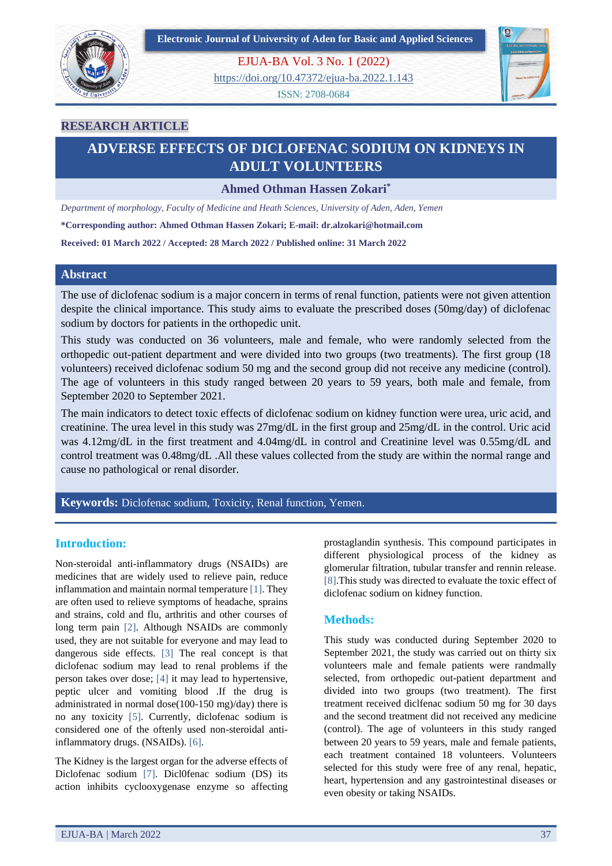



EJUA-BA Vol. 3 No. 1 (2022)

<https://doi.org/10.47372/ejua-ba.2022.1.143>

ISSN: 2708-0684



### **RESEARCH ARTICLE**

## **ADVERSE EFFECTS OF DICLOFENAC SODIUM ON KIDNEYS IN ADULT VOLUNTEERS**

**Ahmed Othman Hassen Zokari\***

*Department of morphology, Faculty of Medicine and Heath Sciences, University of Aden, Aden, Yemen*

**\*Corresponding author: Ahmed Othman Hassen Zokari; E-mail: dr.alzokari@hotmail.com**

**Received: 01 March 2022 / Accepted: 28 March 2022 / Published online: 31 March 2022**

### **Abstract**

The use of diclofenac sodium is a major concern in terms of renal function, patients were not given attention despite the clinical importance. This study aims to evaluate the prescribed doses (50mg/day) of diclofenac sodium by doctors for patients in the orthopedic unit.

This study was conducted on 36 volunteers, male and female, who were randomly selected from the orthopedic out-patient department and were divided into two groups (two treatments). The first group (18 volunteers) received diclofenac sodium 50 mg and the second group did not receive any medicine (control). The age of volunteers in this study ranged between 20 years to 59 years, both male and female, from September 2020 to September 2021.

The main indicators to detect toxic effects of diclofenac sodium on kidney function were urea, uric acid, and creatinine. The urea level in this study was 27mg/dL in the first group and 25mg/dL in the control. Uric acid was 4.12mg/dL in the first treatment and 4.04mg/dL in control and Creatinine level was 0.55mg/dL and control treatment was 0.48mg/dL .All these values collected from the study are within the normal range and cause no pathological or renal disorder.

**Keywords:** Diclofenac sodium, Toxicity, Renal function, Yemen.

### **Introduction:**

Non-steroidal anti-inflammatory drugs (NSAIDs) are medicines that are widely used to relieve pain, reduce inflammation and maintain normal temperature [1]. They are often used to relieve symptoms of headache, sprains and strains, cold and flu, arthritis and other courses of long term pain [2]. Although NSAIDs are commonly used, they are not suitable for everyone and may lead to dangerous side effects. [3] The real concept is that diclofenac sodium may lead to renal problems if the person takes over dose; [4] it may lead to hypertensive, peptic ulcer and vomiting blood .If the drug is administrated in normal dose(100-150 mg)/day) there is no any toxicity [5]. Currently, diclofenac sodium is considered one of the oftenly used non-steroidal antiinflammatory drugs. (NSAIDs). [6].

The Kidney is the largest organ for the adverse effects of Diclofenac sodium [7]. Dicl0fenac sodium (DS) its action inhibits cyclooxygenase enzyme so affecting

prostaglandin synthesis. This compound participates in different physiological process of the kidney as glomerular filtration, tubular transfer and rennin release. [8].This study was directed to evaluate the toxic effect of diclofenac sodium on kidney function.

### **Methods:**

This study was conducted during September 2020 to September 2021, the study was carried out on thirty six volunteers male and female patients were randmally selected, from orthopedic out-patient department and divided into two groups (two treatment). The first treatment received diclfenac sodium 50 mg for 30 days and the second treatment did not received any medicine (control). The age of volunteers in this study ranged between 20 years to 59 years, male and female patients, each treatment contained 18 volunteers. Volunteers selected for this study were free of any renal, hepatic, heart, hypertension and any gastrointestinal diseases or even obesity or taking NSAIDs.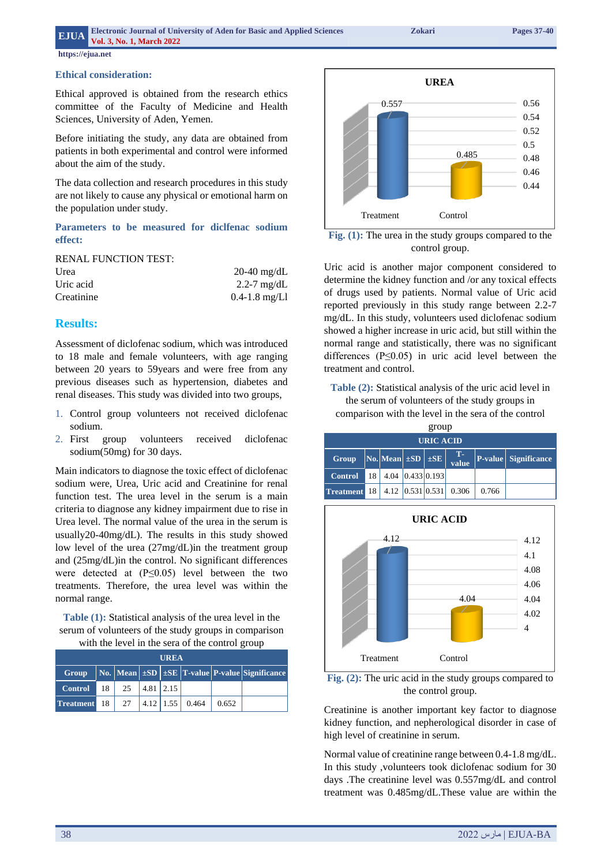### **Externic Journal of University of Aden for Basic and Applied Sciences** *Zokari**Pages 37-40* **Vol. 3, No. 1, March 2022**

**https://ejua.net**

### **Ethical consideration:**

Ethical approved is obtained from the research ethics committee of the Faculty of Medicine and Health Sciences, University of Aden, Yemen.

Before initiating the study, any data are obtained from patients in both experimental and control were informed about the aim of the study.

The data collection and research procedures in this study are not likely to cause any physical or emotional harm on the population under study.

**Parameters to be measured for diclfenac sodium effect:**

RENAL FUNCTION TEST:

| Urea       | $20-40$ mg/dL     |  |  |  |
|------------|-------------------|--|--|--|
| Uric acid  | 2.2-7 $mg/dL$     |  |  |  |
| Creatinine | $0.4 - 1.8$ mg/Ll |  |  |  |

### **Results:**

Assessment of diclofenac sodium, which was introduced to 18 male and female volunteers, with age ranging between 20 years to 59years and were free from any previous diseases such as hypertension, diabetes and renal diseases. This study was divided into two groups,

- 1. Control group volunteers not received diclofenac sodium.
- 2. First group volunteers received diclofenac sodium(50mg) for 30 days.

Main indicators to diagnose the toxic effect of diclofenac sodium were, Urea, Uric acid and Creatinine for renal function test. The urea level in the serum is a main criteria to diagnose any kidney impairment due to rise in Urea level. The normal value of the urea in the serum is usually20-40mg/dL). The results in this study showed low level of the urea (27mg/dL)in the treatment group and (25mg/dL)in the control. No significant differences were detected at (P≤0.05) level between the two treatments. Therefore, the urea level was within the normal range.

**Table (1):** Statistical analysis of the urea level in the serum of volunteers of the study groups in comparison with the level in the sera of the control group

| <b>UREA</b>         |      |    |                          |  |                 |       |                                                                               |
|---------------------|------|----|--------------------------|--|-----------------|-------|-------------------------------------------------------------------------------|
| <b>Group</b>        |      |    |                          |  |                 |       | $\vert$ No. Mean $\vert$ ±SD $\vert$ ±SE $\vert$ T-value P-value Significance |
| <b>Control</b>      | 18 I |    | $25 \mid 4.81 \mid 2.15$ |  |                 |       |                                                                               |
| <b>Treatment</b> 18 |      | 27 |                          |  | 4.12 1.55 0.464 | 0.652 |                                                                               |



**Fig. (1):** The urea in the study groups compared to the control group.

Uric acid is another major component considered to determine the kidney function and /or any toxical effects of drugs used by patients. Normal value of Uric acid reported previously in this study range between 2.2-7 mg/dL. In this study, volunteers used diclofenac sodium showed a higher increase in uric acid, but still within the normal range and statistically, there was no significant differences (P≤0.05) in uric acid level between the treatment and control.

**Table (2):** Statistical analysis of the uric acid level in the serum of volunteers of the study groups in

comparison with the level in the sera of the control

| group            |    |                                                          |  |                      |                           |       |                             |  |  |
|------------------|----|----------------------------------------------------------|--|----------------------|---------------------------|-------|-----------------------------|--|--|
| <b>URIC ACID</b> |    |                                                          |  |                      |                           |       |                             |  |  |
| Group            |    | $\vert$ No. $\vert$ Mean $\vert$ ±SD $\vert$ ±SE $\vert$ |  |                      | $T -$<br>value            |       | <b>P-value</b> Significance |  |  |
| <b>Control</b>   | 18 |                                                          |  | 4.04 $ 0.433 0.193 $ |                           |       |                             |  |  |
| <b>Treatment</b> | 18 |                                                          |  |                      | 4.12 $ 0.531 0.531 0.306$ | 0.766 |                             |  |  |





Creatinine is another important key factor to diagnose kidney function, and nepherological disorder in case of high level of creatinine in serum.

Normal value of creatinine range between 0.4-1.8 mg/dL. In this study ,volunteers took diclofenac sodium for 30 days .The creatinine level was 0.557mg/dL and control treatment was 0.485mg/dL.These value are within the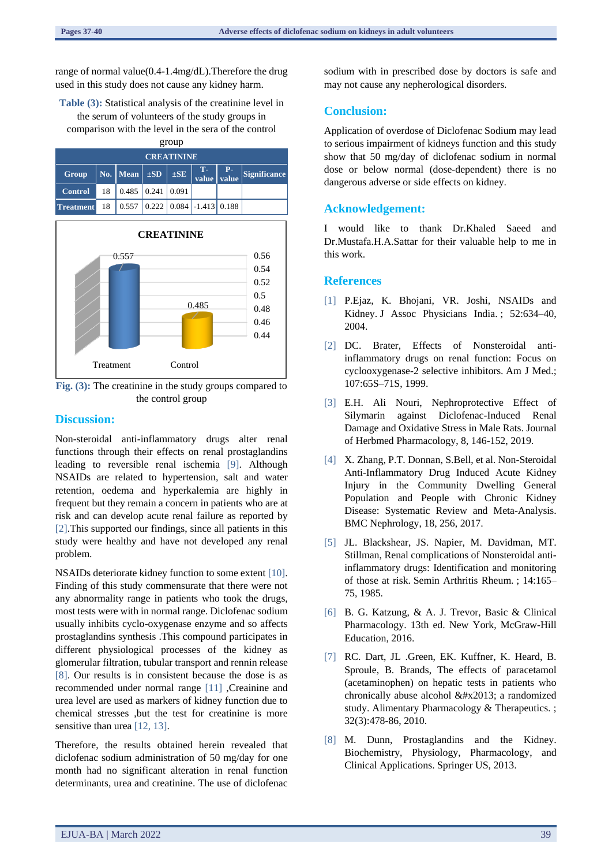range of normal value(0.4-1.4mg/dL).Therefore the drug used in this study does not cause any kidney harm.

**Table (3):** Statistical analysis of the creatinine level in the serum of volunteers of the study groups in comparison with the level in the sera of the control group

| <b>CREATININE</b>                                            |                                                                                                                                                                         |                                       |  |  |  |  |  |  |
|--------------------------------------------------------------|-------------------------------------------------------------------------------------------------------------------------------------------------------------------------|---------------------------------------|--|--|--|--|--|--|
| Group                                                        | $\bigg\vert$ No. $\bigg\vert$ Mean $\bigg\vert$ $\pm$ SD $\bigg\vert$ $\pm$ SE $\bigg\vert$ $\frac{1}{\text{value}}$ $\bigg\vert$ $\frac{P}{\text{value}}$ Significance |                                       |  |  |  |  |  |  |
| <b>Control</b>                                               |                                                                                                                                                                         | $18 \mid 0.485 \mid 0.241 \mid 0.091$ |  |  |  |  |  |  |
| <b>Treatment</b> 18   0.557   0.222   0.084   -1.413   0.188 |                                                                                                                                                                         |                                       |  |  |  |  |  |  |



**Fig. (3):** The creatinine in the study groups compared to the control group

### **Discussion:**

Non-steroidal anti-inflammatory drugs alter renal functions through their effects on renal prostaglandins leading to reversible renal ischemia [9]. Although NSAIDs are related to hypertension, salt and water retention, oedema and hyperkalemia are highly in frequent but they remain a concern in patients who are at risk and can develop acute renal failure as reported by [2].This supported our findings, since all patients in this study were healthy and have not developed any renal problem.

NSAIDs deteriorate kidney function to some extent [10]. Finding of this study commensurate that there were not any abnormality range in patients who took the drugs, most tests were with in normal range. Diclofenac sodium usually inhibits cyclo-oxygenase enzyme and so affects prostaglandins synthesis .This compound participates in different physiological processes of the kidney as glomerular filtration, tubular transport and rennin release [8]. Our results is in consistent because the dose is as recommended under normal range [11] ,Creainine and urea level are used as markers of kidney function due to chemical stresses ,but the test for creatinine is more sensitive than urea [12, 13].

Therefore, the results obtained herein revealed that diclofenac sodium administration of 50 mg/day for one month had no significant alteration in renal function determinants, urea and creatinine. The use of diclofenac

sodium with in prescribed dose by doctors is safe and may not cause any nepherological disorders.

### **Conclusion:**

Application of overdose of Diclofenac Sodium may lead to serious impairment of kidneys function and this study show that 50 mg/day of diclofenac sodium in normal dose or below normal (dose-dependent) there is no dangerous adverse or side effects on kidney.

### **Acknowledgement:**

I would like to thank Dr.Khaled Saeed and Dr.Mustafa.H.A.Sattar for their valuable help to me in this work.

### **References**

- [1] P.Ejaz, K. Bhojani, VR. Joshi, NSAIDs and Kidney. J Assoc Physicians India. ; 52:634–40, 2004.
- [2] DC. Brater, Effects of Nonsteroidal antiinflammatory drugs on renal function: Focus on cyclooxygenase-2 selective inhibitors. Am J Med.; 107:65S–71S, 1999.
- [3] E.H. Ali Nouri, Nephroprotective Effect of Silymarin against Diclofenac-Induced Renal Damage and Oxidative Stress in Male Rats. Journal of Herbmed Pharmacology, 8, 146-152, 2019.
- [4] X. Zhang, P.T. Donnan, S.Bell, et al. Non-Steroidal Anti-Inflammatory Drug Induced Acute Kidney Injury in the Community Dwelling General Population and People with Chronic Kidney Disease: Systematic Review and Meta-Analysis. BMC Nephrology, 18, 256, 2017.
- [5] JL. Blackshear, JS. Napier, M. Davidman, MT. Stillman, Renal complications of Nonsteroidal antiinflammatory drugs: Identification and monitoring of those at risk. Semin Arthritis Rheum. ; 14:165– 75, 1985.
- [6] B. G. Katzung, & A. J. Trevor, Basic & Clinical Pharmacology. 13th ed. New York, McGraw-Hill Education, 2016.
- [7] RC. Dart, JL .Green, EK. Kuffner, K. Heard, B. Sproule, B. Brands, The effects of paracetamol (acetaminophen) on hepatic tests in patients who chronically abuse alcohol  $& \#x2013$ ; a randomized study. Alimentary Pharmacology & Therapeutics. ; 32(3):478-86, 2010.
- [8] M. Dunn, Prostaglandins and the Kidney. Biochemistry, Physiology, Pharmacology, and Clinical Applications. Springer US, 2013.